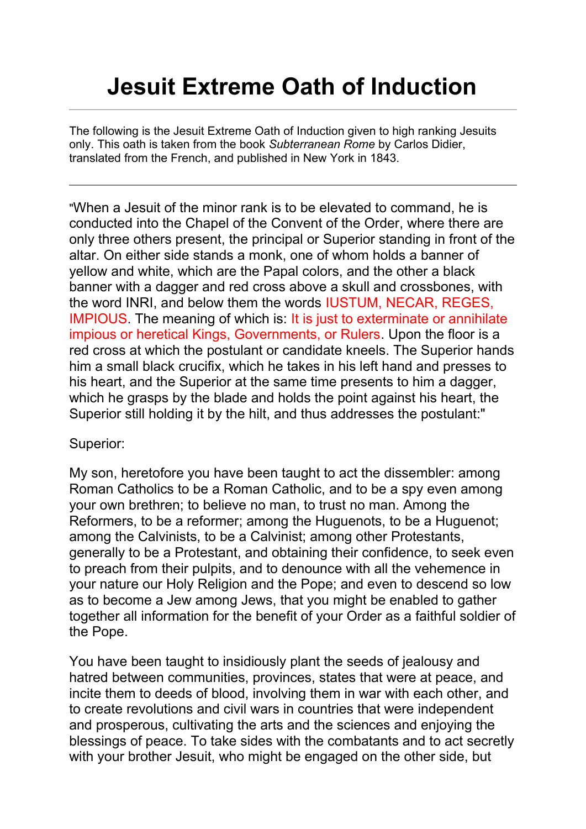## **Jesuit Extreme Oath of Induction**

The following is the Jesuit Extreme Oath of Induction given to high ranking Jesuits only. This oath is taken from the book *Subterranean Rome* by Carlos Didier, translated from the French, and published in New York in 1843.

"When a Jesuit of the minor rank is to be elevated to command, he is conducted into the Chapel of the Convent of the Order, where there are only three others present, the principal or Superior standing in front of the altar. On either side stands a monk, one of whom holds a banner of yellow and white, which are the Papal colors, and the other a black banner with a dagger and red cross above a skull and crossbones, with the word INRI, and below them the words IUSTUM, NECAR, REGES, IMPIOUS. The meaning of which is: It is just to exterminate or annihilate impious or heretical Kings, Governments, or Rulers. Upon the floor is a red cross at which the postulant or candidate kneels. The Superior hands him a small black crucifix, which he takes in his left hand and presses to his heart, and the Superior at the same time presents to him a dagger, which he grasps by the blade and holds the point against his heart, the Superior still holding it by the hilt, and thus addresses the postulant:"

## Superior:

My son, heretofore you have been taught to act the dissembler: among Roman Catholics to be a Roman Catholic, and to be a spy even among your own brethren; to believe no man, to trust no man. Among the Reformers, to be a reformer; among the Huguenots, to be a Huguenot; among the Calvinists, to be a Calvinist; among other Protestants, generally to be a Protestant, and obtaining their confidence, to seek even to preach from their pulpits, and to denounce with all the vehemence in your nature our Holy Religion and the Pope; and even to descend so low as to become a Jew among Jews, that you might be enabled to gather together all information for the benefit of your Order as a faithful soldier of the Pope.

You have been taught to insidiously plant the seeds of jealousy and hatred between communities, provinces, states that were at peace, and incite them to deeds of blood, involving them in war with each other, and to create revolutions and civil wars in countries that were independent and prosperous, cultivating the arts and the sciences and enjoying the blessings of peace. To take sides with the combatants and to act secretly with your brother Jesuit, who might be engaged on the other side, but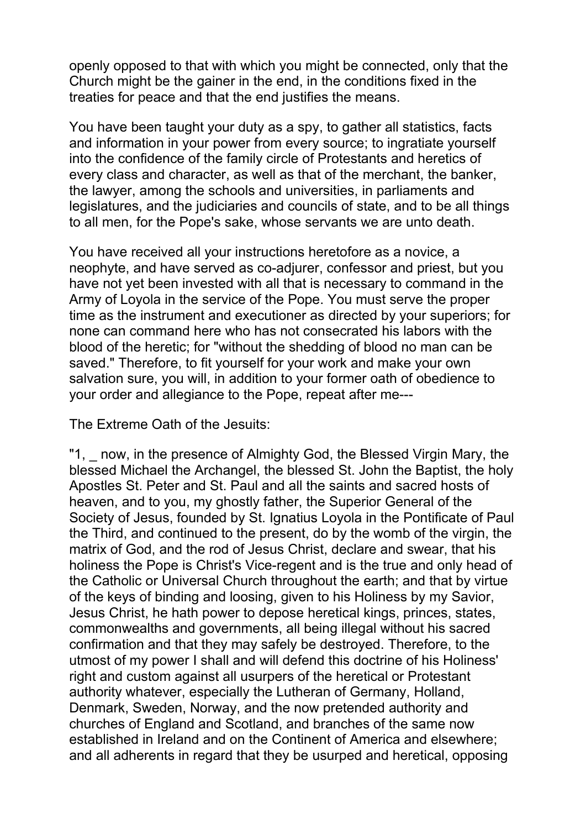openly opposed to that with which you might be connected, only that the Church might be the gainer in the end, in the conditions fixed in the treaties for peace and that the end justifies the means.

You have been taught your duty as a spy, to gather all statistics, facts and information in your power from every source; to ingratiate yourself into the confidence of the family circle of Protestants and heretics of every class and character, as well as that of the merchant, the banker, the lawyer, among the schools and universities, in parliaments and legislatures, and the judiciaries and councils of state, and to be all things to all men, for the Pope's sake, whose servants we are unto death.

You have received all your instructions heretofore as a novice, a neophyte, and have served as co-adjurer, confessor and priest, but you have not yet been invested with all that is necessary to command in the Army of Loyola in the service of the Pope. You must serve the proper time as the instrument and executioner as directed by your superiors; for none can command here who has not consecrated his labors with the blood of the heretic; for "without the shedding of blood no man can be saved." Therefore, to fit yourself for your work and make your own salvation sure, you will, in addition to your former oath of obedience to your order and allegiance to the Pope, repeat after me---

The Extreme Oath of the Jesuits:

"1, now, in the presence of Almighty God, the Blessed Virgin Mary, the blessed Michael the Archangel, the blessed St. John the Baptist, the holy Apostles St. Peter and St. Paul and all the saints and sacred hosts of heaven, and to you, my ghostly father, the Superior General of the Society of Jesus, founded by St. Ignatius Loyola in the Pontificate of Paul the Third, and continued to the present, do by the womb of the virgin, the matrix of God, and the rod of Jesus Christ, declare and swear, that his holiness the Pope is Christ's Vice-regent and is the true and only head of the Catholic or Universal Church throughout the earth; and that by virtue of the keys of binding and loosing, given to his Holiness by my Savior, Jesus Christ, he hath power to depose heretical kings, princes, states, commonwealths and governments, all being illegal without his sacred confirmation and that they may safely be destroyed. Therefore, to the utmost of my power I shall and will defend this doctrine of his Holiness' right and custom against all usurpers of the heretical or Protestant authority whatever, especially the Lutheran of Germany, Holland, Denmark, Sweden, Norway, and the now pretended authority and churches of England and Scotland, and branches of the same now established in Ireland and on the Continent of America and elsewhere; and all adherents in regard that they be usurped and heretical, opposing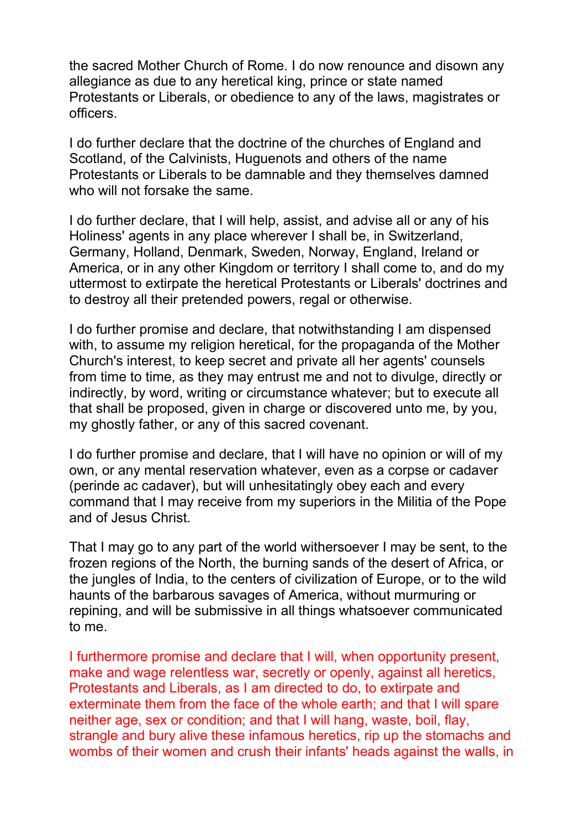the sacred Mother Church of Rome. I do now renounce and disown any allegiance as due to any heretical king, prince or state named Protestants or Liberals, or obedience to any of the laws, magistrates or officers.

I do further declare that the doctrine of the churches of England and Scotland, of the Calvinists, Huguenots and others of the name Protestants or Liberals to be damnable and they themselves damned who will not forsake the same.

I do further declare, that I will help, assist, and advise all or any of his Holiness' agents in any place wherever I shall be, in Switzerland, Germany, Holland, Denmark, Sweden, Norway, England, Ireland or America, or in any other Kingdom or territory I shall come to, and do my uttermost to extirpate the heretical Protestants or Liberals' doctrines and to destroy all their pretended powers, regal or otherwise.

I do further promise and declare, that notwithstanding I am dispensed with, to assume my religion heretical, for the propaganda of the Mother Church's interest, to keep secret and private all her agents' counsels from time to time, as they may entrust me and not to divulge, directly or indirectly, by word, writing or circumstance whatever; but to execute all that shall be proposed, given in charge or discovered unto me, by you, my ghostly father, or any of this sacred covenant.

I do further promise and declare, that I will have no opinion or will of my own, or any mental reservation whatever, even as a corpse or cadaver (perinde ac cadaver), but will unhesitatingly obey each and every command that I may receive from my superiors in the Militia of the Pope and of Jesus Christ.

That I may go to any part of the world withersoever I may be sent, to the frozen regions of the North, the burning sands of the desert of Africa, or the jungles of India, to the centers of civilization of Europe, or to the wild haunts of the barbarous savages of America, without murmuring or repining, and will be submissive in all things whatsoever communicated to me.

I furthermore promise and declare that I will, when opportunity present, make and wage relentless war, secretly or openly, against all heretics, Protestants and Liberals, as I am directed to do, to extirpate and exterminate them from the face of the whole earth; and that I will spare neither age, sex or condition; and that I will hang, waste, boil, flay, strangle and bury alive these infamous heretics, rip up the stomachs and wombs of their women and crush their infants' heads against the walls, in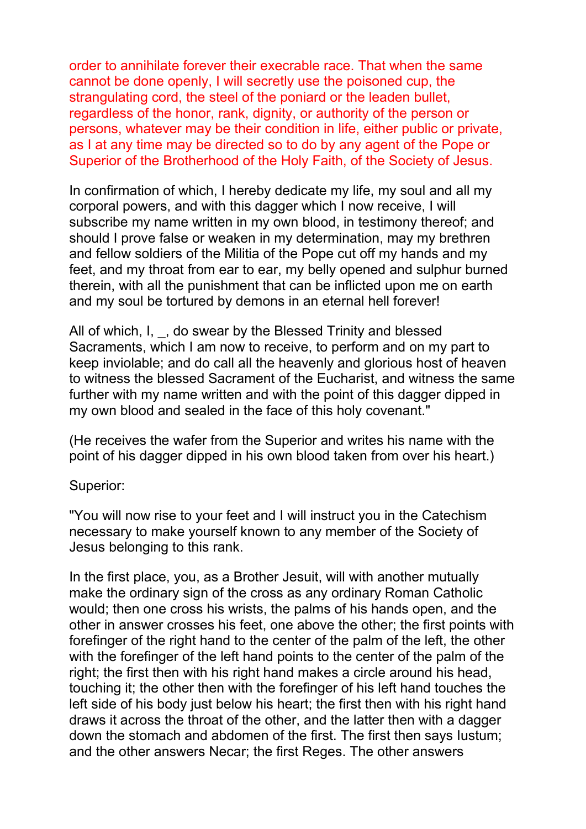order to annihilate forever their execrable race. That when the same cannot be done openly, I will secretly use the poisoned cup, the strangulating cord, the steel of the poniard or the leaden bullet, regardless of the honor, rank, dignity, or authority of the person or persons, whatever may be their condition in life, either public or private, as I at any time may be directed so to do by any agent of the Pope or Superior of the Brotherhood of the Holy Faith, of the Society of Jesus.

In confirmation of which, I hereby dedicate my life, my soul and all my corporal powers, and with this dagger which I now receive, I will subscribe my name written in my own blood, in testimony thereof; and should I prove false or weaken in my determination, may my brethren and fellow soldiers of the Militia of the Pope cut off my hands and my feet, and my throat from ear to ear, my belly opened and sulphur burned therein, with all the punishment that can be inflicted upon me on earth and my soul be tortured by demons in an eternal hell forever!

All of which, I, , do swear by the Blessed Trinity and blessed Sacraments, which I am now to receive, to perform and on my part to keep inviolable; and do call all the heavenly and glorious host of heaven to witness the blessed Sacrament of the Eucharist, and witness the same further with my name written and with the point of this dagger dipped in my own blood and sealed in the face of this holy covenant."

(He receives the wafer from the Superior and writes his name with the point of his dagger dipped in his own blood taken from over his heart.)

Superior:

"You will now rise to your feet and I will instruct you in the Catechism necessary to make yourself known to any member of the Society of Jesus belonging to this rank.

In the first place, you, as a Brother Jesuit, will with another mutually make the ordinary sign of the cross as any ordinary Roman Catholic would; then one cross his wrists, the palms of his hands open, and the other in answer crosses his feet, one above the other; the first points with forefinger of the right hand to the center of the palm of the left, the other with the forefinger of the left hand points to the center of the palm of the right; the first then with his right hand makes a circle around his head, touching it; the other then with the forefinger of his left hand touches the left side of his body just below his heart; the first then with his right hand draws it across the throat of the other, and the latter then with a dagger down the stomach and abdomen of the first. The first then says Iustum; and the other answers Necar; the first Reges. The other answers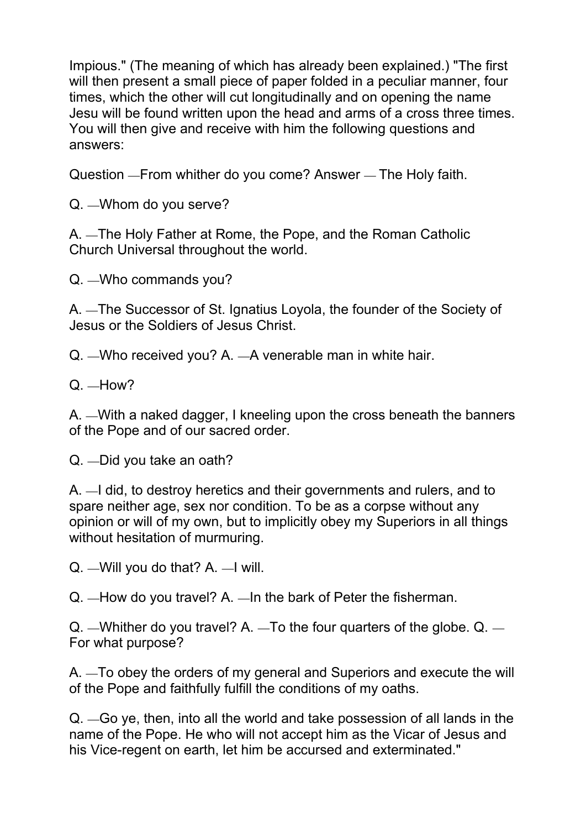Impious." (The meaning of which has already been explained.) "The first will then present a small piece of paper folded in a peculiar manner, four times, which the other will cut longitudinally and on opening the name Jesu will be found written upon the head and arms of a cross three times. You will then give and receive with him the following questions and answers:

Question —From whither do you come? Answer — The Holy faith.

Q. —Whom do you serve?

A. —The Holy Father at Rome, the Pope, and the Roman Catholic Church Universal throughout the world.

Q. —Who commands you?

A. —The Successor of St. Ignatius Loyola, the founder of the Society of Jesus or the Soldiers of Jesus Christ.

Q. —Who received you? A. —A venerable man in white hair.

 $Q$  –How?

A. —With a naked dagger, I kneeling upon the cross beneath the banners of the Pope and of our sacred order.

Q. —Did you take an oath?

A. —I did, to destroy heretics and their governments and rulers, and to spare neither age, sex nor condition. To be as a corpse without any opinion or will of my own, but to implicitly obey my Superiors in all things without hesitation of murmuring.

Q. —Will you do that? A. —I will.

Q. —How do you travel? A. —In the bark of Peter the fisherman.

Q. —Whither do you travel? A. —To the four quarters of the globe. Q. — For what purpose?

A. —To obey the orders of my general and Superiors and execute the will of the Pope and faithfully fulfill the conditions of my oaths.

Q. —Go ye, then, into all the world and take possession of all lands in the name of the Pope. He who will not accept him as the Vicar of Jesus and his Vice-regent on earth, let him be accursed and exterminated."